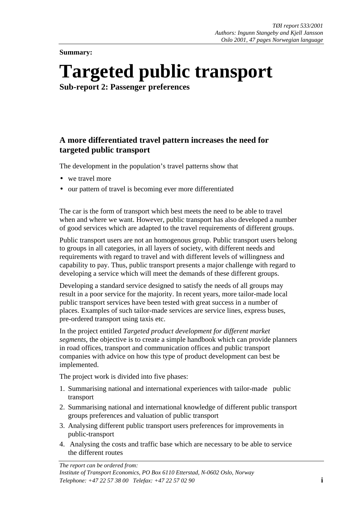**Summary:** 

# **Targeted public transport**

**Sub-report 2: Passenger preferences** 

## **A more differentiated travel pattern increases the need for targeted public transport**

The development in the population's travel patterns show that

- we travel more
- our pattern of travel is becoming ever more differentiated

The car is the form of transport which best meets the need to be able to travel when and where we want. However, public transport has also developed a number of good services which are adapted to the travel requirements of different groups.

Public transport users are not an homogenous group. Public transport users belong to groups in all categories, in all layers of society, with different needs and requirements with regard to travel and with different levels of willingness and capability to pay. Thus, public transport presents a major challenge with regard to developing a service which will meet the demands of these different groups.

Developing a standard service designed to satisfy the needs of all groups may result in a poor service for the majority. In recent years, more tailor-made local public transport services have been tested with great success in a number of places. Examples of such tailor-made services are service lines, express buses, pre-ordered transport using taxis etc.

In the project entitled *Targeted product development for different market segments*, the objective is to create a simple handbook which can provide planners in road offices, transport and communication offices and public transport companies with advice on how this type of product development can best be implemented.

The project work is divided into five phases:

- 1. Summarising national and international experiences with tailor-made public transport
- 2. Summarising national and international knowledge of different public transport groups preferences and valuation of public transport
- 3. Analysing different public transport users preferences for improvements in public-transport
- 4. Analysing the costs and traffic base which are necessary to be able to service the different routes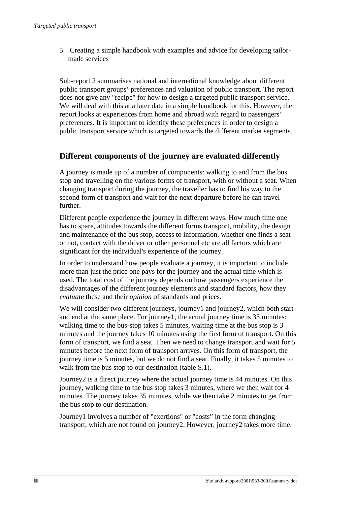5. Creating a simple handbook with examples and advice for developing tailormade services

Sub-report 2 summarises national and international knowledge about different public transport groups' preferences and valuation of public transport. The report does not give any "recipe" for how to design a targeted public transport service. We will deal with this at a later date in a simple handbook for this. However, the report looks at experiences from home and abroad with regard to passengers' preferences. It is important to identify these preferences in order to design a public transport service which is targeted towards the different market segments.

#### **Different components of the journey are evaluated differently**

A journey is made up of a number of components: walking to and from the bus stop and travelling on the various forms of transport, with or without a seat. When changing transport during the journey, the traveller has to find his way to the second form of transport and wait for the next departure before he can travel further.

Different people experience the journey in different ways. How much time one has to spare, attitudes towards the different forms transport, mobility, the design and maintenance of the bus stop, access to information, whether one finds a seat or not, contact with the driver or other personnel etc are all factors which are significant for the individual's experience of the journey.

In order to understand how people evaluate a journey, it is important to include more than just the price one pays for the journey and the actual time which is used. The total cost of the journey depends on how passengers experience the disadvantages of the different journey elements and standard factors, how they *evaluate* these and their *opinion* of standards and prices.

We will consider two different journeys, journey1 and journey2, which both start and end at the same place. For journey1, the actual journey time is 33 minutes: walking time to the bus-stop takes 5 minutes, waiting time at the bus stop is 3 minutes and the journey takes 10 minutes using the first form of transport. On this form of transport, we find a seat. Then we need to change transport and wait for 5 minutes before the next form of transport arrives. On this form of transport, the journey time is 5 minutes, but we do not find a seat. Finally, it takes 5 minutes to walk from the bus stop to our destination (table S.1).

Journey2 is a direct journey where the actual journey time is 44 minutes. On this journey, walking time to the bus stop takes 3 minutes, where we then wait for 4 minutes. The journey takes 35 minutes, while we then take 2 minutes to get from the bus stop to our destination.

Journey1 involves a number of "exertions" or "costs" in the form changing transport, which are not found on journey2. However, journey2 takes more time.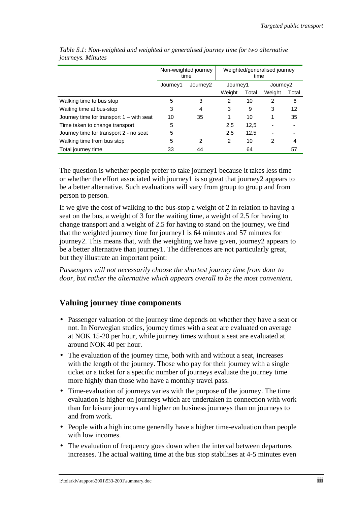|                                            | Non-weighted journey<br>time |                                  | Weighted/generalised journey<br>time |       |                      |       |
|--------------------------------------------|------------------------------|----------------------------------|--------------------------------------|-------|----------------------|-------|
|                                            | Journey1                     | Journey1<br>Journey <sub>2</sub> |                                      |       | Journey <sub>2</sub> |       |
|                                            |                              |                                  | Weight                               | Total | Weight               | Total |
| Walking time to bus stop                   | 5                            | 3                                | 2                                    | 10    | 2                    | 6     |
| Waiting time at bus-stop                   | 3                            | 4                                | 3                                    | 9     | 3                    | 12    |
| Journey time for transport $1 -$ with seat | 10                           | 35                               |                                      | 10    |                      | 35    |
| Time taken to change transport             | 5                            |                                  | 2,5                                  | 12,5  |                      |       |
| Journey time for transport 2 - no seat     | 5                            |                                  | 2,5                                  | 12,5  |                      |       |
| Walking time from bus stop                 | 5                            | 2                                | 2                                    | 10    | 2                    | 4     |
| Total journey time                         | 33                           | 44                               |                                      | 64    |                      | 57    |

*Table S.1: Non-weighted and weighted or generalised journey time for two alternative journeys. Minutes* 

The question is whether people prefer to take journey1 because it takes less time or whether the effort associated with journey1 is so great that journey2 appears to be a better alternative. Such evaluations will vary from group to group and from person to person.

If we give the cost of walking to the bus-stop a weight of 2 in relation to having a seat on the bus, a weight of 3 for the waiting time, a weight of 2.5 for having to change transport and a weight of 2.5 for having to stand on the journey, we find that the weighted journey time for journey1 is 64 minutes and 57 minutes for journey2. This means that, with the weighting we have given, journey2 appears to be a better alternative than journey1. The differences are not particularly great, but they illustrate an important point:

*Passengers will not necessarily choose the shortest journey time from door to door, but rather the alternative which appears overall to be the most convenient.* 

### **Valuing journey time components**

- Passenger valuation of the journey time depends on whether they have a seat or not. In Norwegian studies, journey times with a seat are evaluated on average at NOK 15-20 per hour, while journey times without a seat are evaluated at around NOK 40 per hour.
- The evaluation of the journey time, both with and without a seat, increases with the length of the journey. Those who pay for their journey with a single ticket or a ticket for a specific number of journeys evaluate the journey time more highly than those who have a monthly travel pass.
- Time-evaluation of journeys varies with the purpose of the journey. The time evaluation is higher on journeys which are undertaken in connection with work than for leisure journeys and higher on business journeys than on journeys to and from work.
- People with a high income generally have a higher time-evaluation than people with low incomes.
- The evaluation of frequency goes down when the interval between departures increases. The actual waiting time at the bus stop stabilises at 4-5 minutes even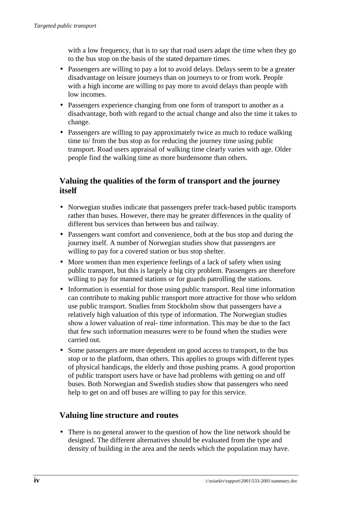with a low frequency, that is to say that road users adapt the time when they go to the bus stop on the basis of the stated departure times.

- Passengers are willing to pay a lot to avoid delays. Delays seem to be a greater disadvantage on leisure journeys than on journeys to or from work. People with a high income are willing to pay more to avoid delays than people with low incomes.
- Passengers experience changing from one form of transport to another as a disadvantage, both with regard to the actual change and also the time it takes to change.
- Passengers are willing to pay approximately twice as much to reduce walking time to/ from the bus stop as for reducing the journey time using public transport. Road users appraisal of walking time clearly varies with age. Older people find the walking time as more burdensome than others.

## **Valuing the qualities of the form of transport and the journey itself**

- Norwegian studies indicate that passengers prefer track-based public transports rather than buses. However, there may be greater differences in the quality of different bus services than between bus and railway.
- Passengers want comfort and convenience, both at the bus stop and during the journey itself. A number of Norwegian studies show that passengers are willing to pay for a covered station or bus stop shelter.
- More women than men experience feelings of a lack of safety when using public transport, but this is largely a big city problem. Passengers are therefore willing to pay for manned stations or for guards patrolling the stations.
- Information is essential for those using public transport. Real time information can contribute to making public transport more attractive for those who seldom use public transport. Studies from Stockholm show that passengers have a relatively high valuation of this type of information. The Norwegian studies show a lower valuation of real- time information. This may be due to the fact that few such information measures were to be found when the studies were carried out.
- Some passengers are more dependent on good access to transport, to the bus stop or to the platform, than others. This applies to groups with different types of physical handicaps, the elderly and those pushing prams. A good proportion of public transport users have or have had problems with getting on and off buses. Both Norwegian and Swedish studies show that passengers who need help to get on and off buses are willing to pay for this service.

## **Valuing line structure and routes**

• There is no general answer to the question of how the line network should be designed. The different alternatives should be evaluated from the type and density of building in the area and the needs which the population may have.